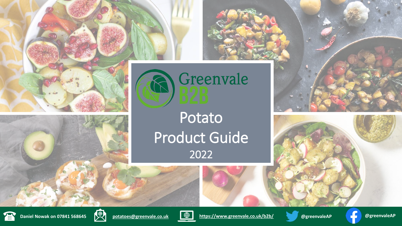





Potato Product Guide 2022



















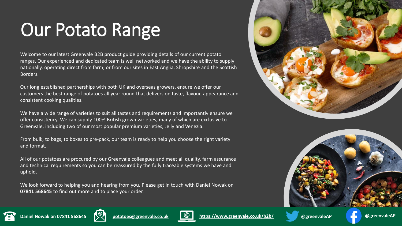## Our Potato Range

Welcome to our latest Greenvale B2B product guide providing details of our current potato ranges. Our experienced and dedicated team is well networked and we have the ability to supply nationally, operating direct from farm, or from our sites in East Anglia, Shropshire and the Scottish Borders.

Our long established partnerships with both UK and overseas growers, ensure we offer our customers the best range of potatoes all year round that delivers on taste, flavour, appearance and consistent cooking qualities.

We have a wide range of varieties to suit all tastes and requirements and importantly ensure we offer consistency. We can supply 100% British grown varieties, many of which are exclusive to Greenvale, including two of our most popular premium varieties, Jelly and Venezia.

From bulk, to bags, to boxes to pre-pack, our team is ready to help you choose the right variety and format.

All of our potatoes are procured by our Greenvale colleagues and meet all quality, farm assurance and technical requirements so you can be reassured by the fully traceable systems we have and uphold.

We look forward to helping you and hearing from you. Please get in touch with Daniel Nowak on **07841 568645** to find out more and to place your order.













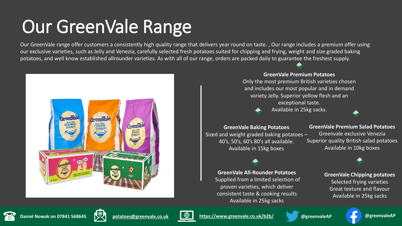### Our GreenVale Range

Our GreenVale range offer customers a consistently high quality range that delivers year round on taste. , Our range includes a premium offer using our exclusive varieties, such as Jelly and Venezia, carefully selected fresh potatoes suited for chipping and frying, weight and size graded baking potatoes, and well know established allrounder varieties. As with all of our range, orders are packed daily to guarantee the freshest supply.



**GreenVale Premium Potatoes** Only the most premium British varieties chosen and includes our most popular and in demand variety Jelly. Superior yellow flesh and an exceptional taste. Available in 25kg sacks.



Sized and weight graded baking potatoes – 40's, 50's, 60's 80's all available. Available in 15kg boxes

**GreenVale All-Rounder Potatoes**  Supplied from a limited selection of proven varieties, which deliver consistent taste & cooking results Available in 25kg sacks

### **GreenVale Premium Salad Potatoes**  Greenvale exclusive Venezia

Superior quality British salad potatoes Available in 10kg boxes

**GreenVale Chipping potatoes** Selected frying varieties Great texture and flavour

Available in 25kg sacks